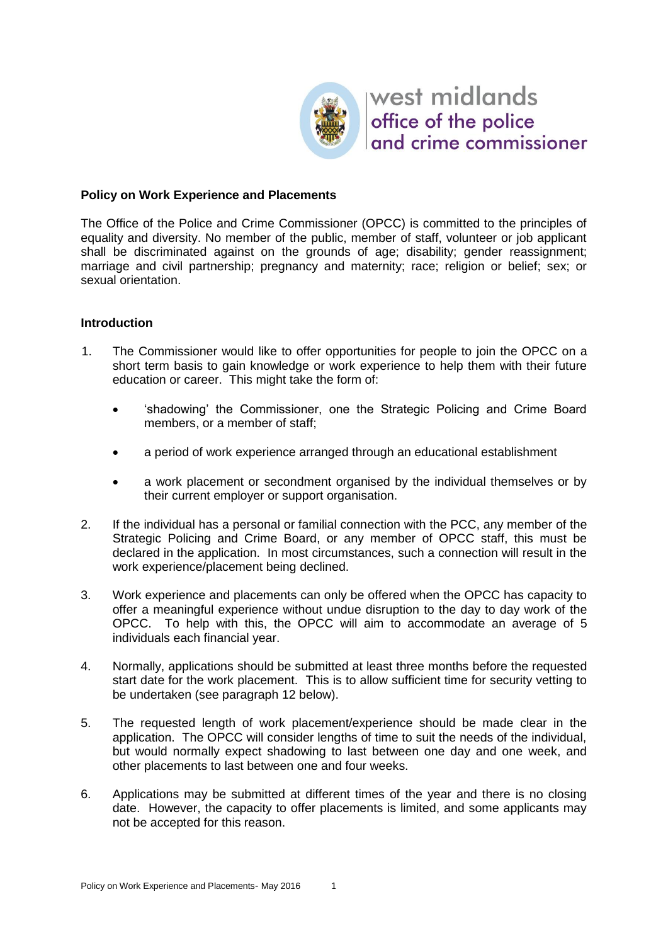

west midlands office of the police and crime commissioner

## **Policy on Work Experience and Placements**

The Office of the Police and Crime Commissioner (OPCC) is committed to the principles of equality and diversity. No member of the public, member of staff, volunteer or job applicant shall be discriminated against on the grounds of age; disability; gender reassignment; marriage and civil partnership; pregnancy and maternity; race; religion or belief; sex; or sexual orientation.

## **Introduction**

- 1. The Commissioner would like to offer opportunities for people to join the OPCC on a short term basis to gain knowledge or work experience to help them with their future education or career. This might take the form of:
	- 'shadowing' the Commissioner, one the Strategic Policing and Crime Board members, or a member of staff;
	- a period of work experience arranged through an educational establishment
	- a work placement or secondment organised by the individual themselves or by their current employer or support organisation.
- 2. If the individual has a personal or familial connection with the PCC, any member of the Strategic Policing and Crime Board, or any member of OPCC staff, this must be declared in the application. In most circumstances, such a connection will result in the work experience/placement being declined.
- 3. Work experience and placements can only be offered when the OPCC has capacity to offer a meaningful experience without undue disruption to the day to day work of the OPCC. To help with this, the OPCC will aim to accommodate an average of 5 individuals each financial year.
- 4. Normally, applications should be submitted at least three months before the requested start date for the work placement. This is to allow sufficient time for security vetting to be undertaken (see paragraph 12 below).
- 5. The requested length of work placement/experience should be made clear in the application. The OPCC will consider lengths of time to suit the needs of the individual, but would normally expect shadowing to last between one day and one week, and other placements to last between one and four weeks.
- 6. Applications may be submitted at different times of the year and there is no closing date. However, the capacity to offer placements is limited, and some applicants may not be accepted for this reason.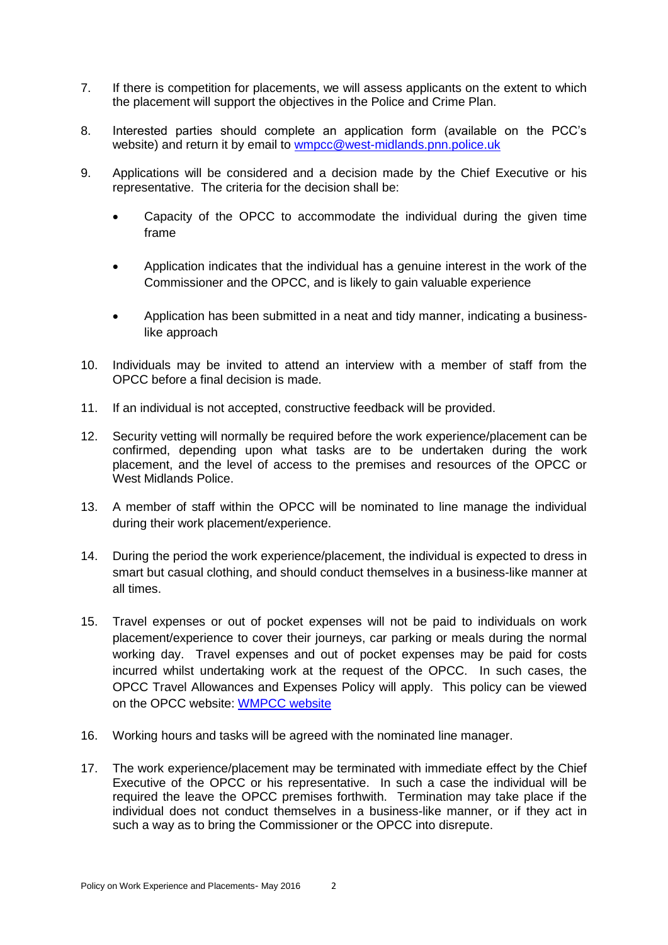- 7. If there is competition for placements, we will assess applicants on the extent to which the placement will support the objectives in the Police and Crime Plan.
- 8. Interested parties should complete an application form (available on the PCC's website) and return it by email to [wmpcc@west-midlands.pnn.police.uk](mailto:wmpcc@west-midlands.pnn.police.uk)
- 9. Applications will be considered and a decision made by the Chief Executive or his representative. The criteria for the decision shall be:
	- Capacity of the OPCC to accommodate the individual during the given time frame
	- Application indicates that the individual has a genuine interest in the work of the Commissioner and the OPCC, and is likely to gain valuable experience
	- Application has been submitted in a neat and tidy manner, indicating a businesslike approach
- 10. Individuals may be invited to attend an interview with a member of staff from the OPCC before a final decision is made.
- 11. If an individual is not accepted, constructive feedback will be provided.
- 12. Security vetting will normally be required before the work experience/placement can be confirmed, depending upon what tasks are to be undertaken during the work placement, and the level of access to the premises and resources of the OPCC or West Midlands Police.
- 13. A member of staff within the OPCC will be nominated to line manage the individual during their work placement/experience.
- 14. During the period the work experience/placement, the individual is expected to dress in smart but casual clothing, and should conduct themselves in a business-like manner at all times.
- 15. Travel expenses or out of pocket expenses will not be paid to individuals on work placement/experience to cover their journeys, car parking or meals during the normal working day. Travel expenses and out of pocket expenses may be paid for costs incurred whilst undertaking work at the request of the OPCC. In such cases, the OPCC Travel Allowances and Expenses Policy will apply. This policy can be viewed on the OPCC website: [WMPCC website](http://www.westmidlands-pcc.gov.uk/transparency/record-of-decisions/2014/wmpcc-033-2014-scheme-of-corporate-governance/)
- 16. Working hours and tasks will be agreed with the nominated line manager.
- 17. The work experience/placement may be terminated with immediate effect by the Chief Executive of the OPCC or his representative. In such a case the individual will be required the leave the OPCC premises forthwith. Termination may take place if the individual does not conduct themselves in a business-like manner, or if they act in such a way as to bring the Commissioner or the OPCC into disrepute.